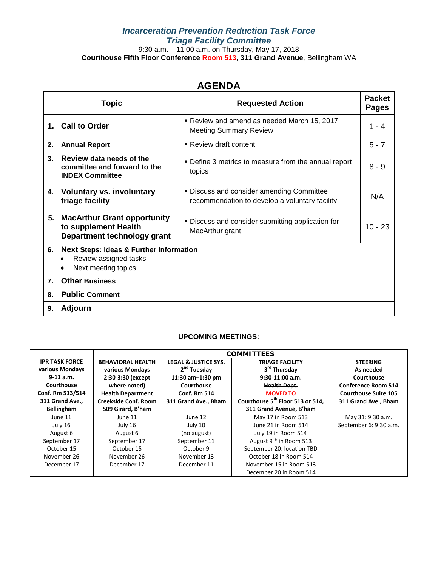### *Incarceration Prevention Reduction Task Force Triage Facility Committee* 9:30 a.m. – 11:00 a.m. on Thursday, May 17, 2018 **Courthouse Fifth Floor Conference Room 513, 311 Grand Avenue**, Bellingham WA

## **AGENDA**

|                | <b>Topic</b>                                                                                            | <b>Requested Action</b>                                                                     | <b>Packet</b><br><b>Pages</b> |
|----------------|---------------------------------------------------------------------------------------------------------|---------------------------------------------------------------------------------------------|-------------------------------|
|                | 1. Call to Order                                                                                        | Review and amend as needed March 15, 2017<br><b>Meeting Summary Review</b>                  | 1 - 4                         |
| 2.             | <b>Annual Report</b>                                                                                    | • Review draft content                                                                      | $5 - 7$                       |
| 3 <sub>1</sub> | Review data needs of the<br>committee and forward to the<br><b>INDEX Committee</b>                      | • Define 3 metrics to measure from the annual report<br>topics                              | $8 - 9$                       |
| 4.             | <b>Voluntary vs. involuntary</b><br>triage facility                                                     | . Discuss and consider amending Committee<br>recommendation to develop a voluntary facility | N/A                           |
| 5.             | <b>MacArthur Grant opportunity</b><br>to supplement Health<br>Department technology grant               | . Discuss and consider submitting application for<br>MacArthur grant                        | $10 - 23$                     |
| 6.             | <b>Next Steps: Ideas &amp; Further Information</b><br>Review assigned tasks<br>٠<br>Next meeting topics |                                                                                             |                               |
| 7.             | <b>Other Business</b>                                                                                   |                                                                                             |                               |
| 8.             | <b>Public Comment</b>                                                                                   |                                                                                             |                               |
| 9.             | Adjourn                                                                                                 |                                                                                             |                               |

### **UPCOMING MEETINGS:**

|                       | <b>COMMITTEES</b>           |                                 |                                              |                             |  |
|-----------------------|-----------------------------|---------------------------------|----------------------------------------------|-----------------------------|--|
| <b>IPR TASK FORCE</b> | <b>BEHAVIORAL HEALTH</b>    | <b>LEGAL &amp; JUSTICE SYS.</b> | <b>TRIAGE FACILITY</b>                       | <b>STEERING</b>             |  |
| various Mondays       | various Mondays             | 2 <sup>nd</sup> Tuesday         | 3rd Thursday                                 | As needed                   |  |
| $9-11$ a.m.           | 2:30-3:30 (except           | 11:30 am-1:30 pm                | $9:30-11:00$ a.m.                            | Courthouse                  |  |
| Courthouse            | where noted)                | Courthouse                      | <b>Health Dept.</b>                          | <b>Conference Room 514</b>  |  |
| Conf. Rm 513/514      | <b>Health Department</b>    | <b>Conf. Rm 514</b>             | <b>MOVED TO</b>                              | <b>Courthouse Suite 105</b> |  |
| 311 Grand Ave.,       | <b>Creekside Conf. Room</b> | 311 Grand Ave., Bham            | Courthouse 5 <sup>th</sup> Floor 513 or 514, | 311 Grand Ave., Bham        |  |
| <b>Bellingham</b>     | 509 Girard, B'ham           |                                 | 311 Grand Avenue, B'ham                      |                             |  |
| June 11               | June 11                     | June 12                         | May 17 in Room 513                           | May 31: 9:30 a.m.           |  |
| July 16               | July 16                     | July 10                         | June 21 in Room 514                          | September 6: 9:30 a.m.      |  |
| August 6              | August 6                    | (no august)                     | July 19 in Room 514                          |                             |  |
| September 17          | September 17                | September 11                    | August 9 * in Room 513                       |                             |  |
| October 15            | October 15                  | October 9                       | September 20: location TBD                   |                             |  |
| November 26           | November 26                 | November 13                     | October 18 in Room 514                       |                             |  |
| December 17           | December 17                 | December 11                     | November 15 in Room 513                      |                             |  |
|                       |                             |                                 | December 20 in Room 514                      |                             |  |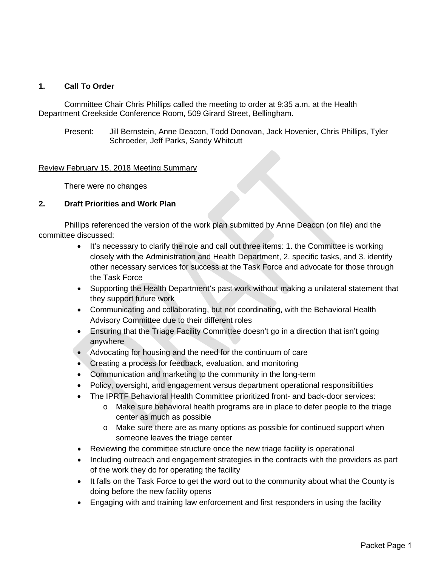### **1. Call To Order**

Committee Chair Chris Phillips called the meeting to order at 9:35 a.m. at the Health Department Creekside Conference Room, 509 Girard Street, Bellingham.

Present: Jill Bernstein, Anne Deacon, Todd Donovan, Jack Hovenier, Chris Phillips, Tyler Schroeder, Jeff Parks, Sandy Whitcutt

### Review February 15, 2018 Meeting Summary

There were no changes

### **2. Draft Priorities and Work Plan**

Phillips referenced the version of the work plan submitted by Anne Deacon (on file) and the committee discussed:

- It's necessary to clarify the role and call out three items: 1. the Committee is working closely with the Administration and Health Department, 2. specific tasks, and 3. identify other necessary services for success at the Task Force and advocate for those through the Task Force
- Supporting the Health Department's past work without making a unilateral statement that they support future work
- Communicating and collaborating, but not coordinating, with the Behavioral Health Advisory Committee due to their different roles
- Ensuring that the Triage Facility Committee doesn't go in a direction that isn't going anywhere
- Advocating for housing and the need for the continuum of care
- Creating a process for feedback, evaluation, and monitoring
- Communication and marketing to the community in the long-term
- Policy, oversight, and engagement versus department operational responsibilities
- The IPRTF Behavioral Health Committee prioritized front- and back-door services:
	- o Make sure behavioral health programs are in place to defer people to the triage center as much as possible
	- o Make sure there are as many options as possible for continued support when someone leaves the triage center
- Reviewing the committee structure once the new triage facility is operational
- Including outreach and engagement strategies in the contracts with the providers as part of the work they do for operating the facility
- It falls on the Task Force to get the word out to the community about what the County is doing before the new facility opens
- Engaging with and training law enforcement and first responders in using the facility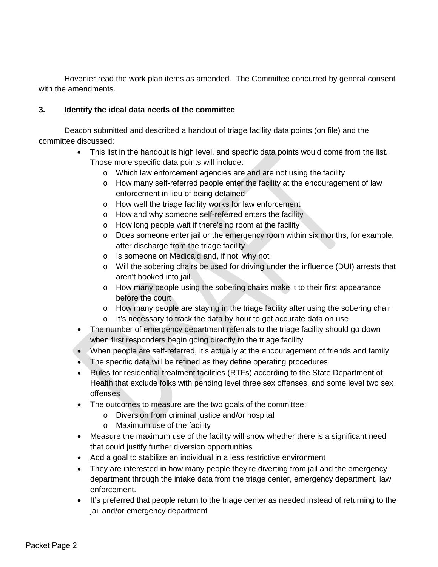Hovenier read the work plan items as amended. The Committee concurred by general consent with the amendments.

### **3. Identify the ideal data needs of the committee**

Deacon submitted and described a handout of triage facility data points (on file) and the committee discussed:

- This list in the handout is high level, and specific data points would come from the list. Those more specific data points will include:
	- o Which law enforcement agencies are and are not using the facility
	- o How many self-referred people enter the facility at the encouragement of law enforcement in lieu of being detained
	- o How well the triage facility works for law enforcement
	- o How and why someone self-referred enters the facility
	- o How long people wait if there's no room at the facility
	- o Does someone enter jail or the emergency room within six months, for example, after discharge from the triage facility
	- o Is someone on Medicaid and, if not, why not
	- o Will the sobering chairs be used for driving under the influence (DUI) arrests that aren't booked into jail.
	- o How many people using the sobering chairs make it to their first appearance before the court
	- o How many people are staying in the triage facility after using the sobering chair
	- o It's necessary to track the data by hour to get accurate data on use
- The number of emergency department referrals to the triage facility should go down when first responders begin going directly to the triage facility
- When people are self-referred, it's actually at the encouragement of friends and family
- The specific data will be refined as they define operating procedures
- Rules for residential treatment facilities (RTFs) according to the State Department of Health that exclude folks with pending level three sex offenses, and some level two sex offenses
- The outcomes to measure are the two goals of the committee:
	- o Diversion from criminal justice and/or hospital
	- o Maximum use of the facility
- Measure the maximum use of the facility will show whether there is a significant need that could justify further diversion opportunities
- Add a goal to stabilize an individual in a less restrictive environment
- They are interested in how many people they're diverting from jail and the emergency department through the intake data from the triage center, emergency department, law enforcement.
- It's preferred that people return to the triage center as needed instead of returning to the jail and/or emergency department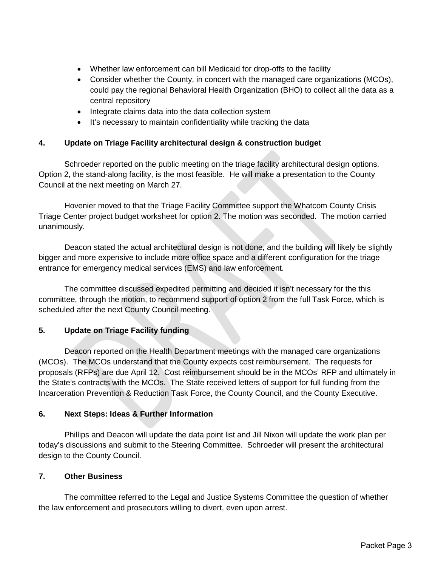- Whether law enforcement can bill Medicaid for drop-offs to the facility
- Consider whether the County, in concert with the managed care organizations (MCOs), could pay the regional Behavioral Health Organization (BHO) to collect all the data as a central repository
- Integrate claims data into the data collection system
- It's necessary to maintain confidentiality while tracking the data

### **4. Update on Triage Facility architectural design & construction budget**

Schroeder reported on the public meeting on the triage facility architectural design options. Option 2, the stand-along facility, is the most feasible. He will make a presentation to the County Council at the next meeting on March 27.

Hovenier moved to that the Triage Facility Committee support the Whatcom County Crisis Triage Center project budget worksheet for option 2. The motion was seconded. The motion carried unanimously.

Deacon stated the actual architectural design is not done, and the building will likely be slightly bigger and more expensive to include more office space and a different configuration for the triage entrance for emergency medical services (EMS) and law enforcement.

The committee discussed expedited permitting and decided it isn't necessary for the this committee, through the motion, to recommend support of option 2 from the full Task Force, which is scheduled after the next County Council meeting.

### **5. Update on Triage Facility funding**

Deacon reported on the Health Department meetings with the managed care organizations (MCOs). The MCOs understand that the County expects cost reimbursement. The requests for proposals (RFPs) are due April 12. Cost reimbursement should be in the MCOs' RFP and ultimately in the State's contracts with the MCOs. The State received letters of support for full funding from the Incarceration Prevention & Reduction Task Force, the County Council, and the County Executive.

### **6. Next Steps: Ideas & Further Information**

Phillips and Deacon will update the data point list and Jill Nixon will update the work plan per today's discussions and submit to the Steering Committee. Schroeder will present the architectural design to the County Council.

### **7. Other Business**

The committee referred to the Legal and Justice Systems Committee the question of whether the law enforcement and prosecutors willing to divert, even upon arrest.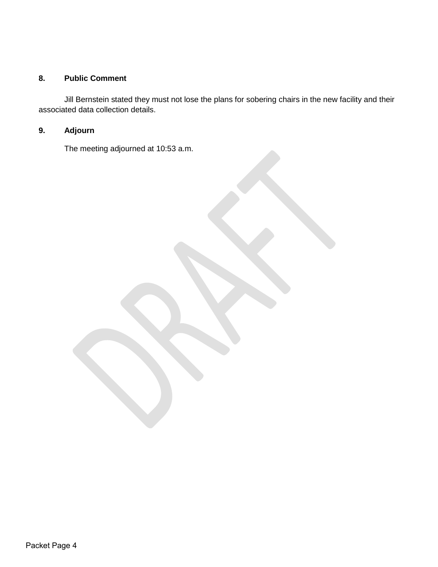### **8. Public Comment**

Jill Bernstein stated they must not lose the plans for sobering chairs in the new facility and their associated data collection details.

### **9. Adjourn**

The meeting adjourned at 10:53 a.m.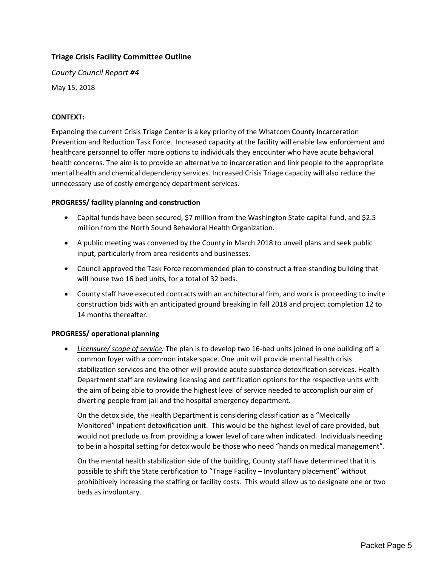### **Triage Crisis Facility Committee Outline**

*County Council Report #4* May 15, 2018

### **CONTEXT:**

Expanding the current Crisis Triage Center is a key priority of the Whatcom County Incarceration Prevention and Reduction Task Force. Increased capacity at the facility will enable law enforcement and healthcare personnel to offer more options to individuals they encounter who have acute behavioral health concerns. The aim is to provide an alternative to incarceration and link people to the appropriate mental health and chemical dependency services. Increased Crisis Triage capacity will also reduce the unnecessary use of costly emergency department services.

### **PROGRESS/ facility planning and construction**

- Capital funds have been secured, \$7 million from the Washington State capital fund, and \$2.5 million from the North Sound Behavioral Health Organization.
- A public meeting was convened by the County in March 2018 to unveil plans and seek public input, particularly from area residents and businesses.
- Council approved the Task Force recommended plan to construct a free-standing building that will house two 16 bed units, for a total of 32 beds.
- County staff have executed contracts with an architectural firm, and work is proceeding to invite construction bids with an anticipated ground breaking in fall 2018 and project completion 12 to 14 months thereafter.

### **PROGRESS/ operational planning**

• *Licensure/ scope of service:* The plan is to develop two 16-bed units joined in one building off a common foyer with a common intake space. One unit will provide mental health crisis stabilization services and the other will provide acute substance detoxification services. Health Department staff are reviewing licensing and certification options for the respective units with the aim of being able to provide the highest level of service needed to accomplish our aim of diverting people from jail and the hospital emergency department.

On the detox side, the Health Department is considering classification as a "Medically Monitored" inpatient detoxification unit. This would be the highest level of care provided, but would not preclude us from providing a lower level of care when indicated. Individuals needing to be in a hospital setting for detox would be those who need "hands on medical management".

On the mental health stabilization side of the building, County staff have determined that it is possible to shift the State certification to "Triage Facility – Involuntary placement" without prohibitively increasing the staffing or facility costs. This would allow us to designate one or two beds as involuntary.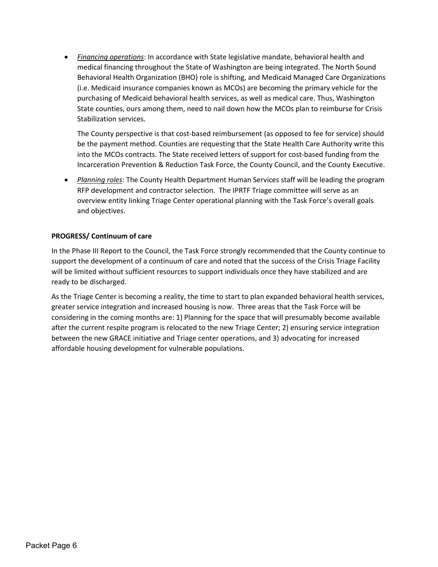• *Financing operations*: In accordance with State legislative mandate, behavioral health and medical financing throughout the State of Washington are being integrated. The North Sound Behavioral Health Organization (BHO) role is shifting, and Medicaid Managed Care Organizations (i.e. Medicaid insurance companies known as MCOs) are becoming the primary vehicle for the purchasing of Medicaid behavioral health services, as well as medical care. Thus, Washington State counties, ours among them, need to nail down how the MCOs plan to reimburse for Crisis Stabilization services.

The County perspective is that cost-based reimbursement (as opposed to fee for service) should be the payment method. Counties are requesting that the State Health Care Authority write this into the MCOs contracts. The State received letters of support for cost-based funding from the Incarceration Prevention & Reduction Task Force, the County Council, and the County Executive.

• *Planning roles*: The County Health Department Human Services staff will be leading the program RFP development and contractor selection. The IPRTF Triage committee will serve as an overview entity linking Triage Center operational planning with the Task Force's overall goals and objectives.

### **PROGRESS/ Continuum of care**

In the Phase III Report to the Council, the Task Force strongly recommended that the County continue to support the development of a continuum of care and noted that the success of the Crisis Triage Facility will be limited without sufficient resources to support individuals once they have stabilized and are ready to be discharged.

As the Triage Center is becoming a reality, the time to start to plan expanded behavioral health services, greater service integration and increased housing is now. Three areas that the Task Force will be considering in the coming months are: 1) Planning for the space that will presumably become available after the current respite program is relocated to the new Triage Center; 2) ensuring service integration between the new GRACE initiative and Triage center operations, and 3) advocating for increased affordable housing development for vulnerable populations.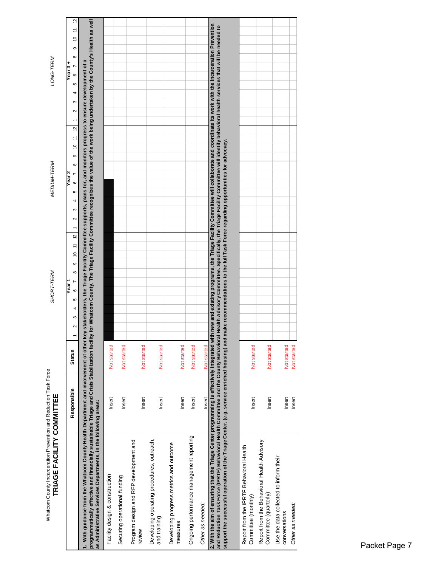| Whatcom County Incarceration Prevention and Reduction Task Force<br>TRIAGE FACILITY COMMITTEE                                                                                                                                                                                                                                                                                                                                                                                                                 |             |               | SHORT-TERM                                                                        | MEDIUM-TERM                                                                                                                              | LONG-TERM                                                 |
|---------------------------------------------------------------------------------------------------------------------------------------------------------------------------------------------------------------------------------------------------------------------------------------------------------------------------------------------------------------------------------------------------------------------------------------------------------------------------------------------------------------|-------------|---------------|-----------------------------------------------------------------------------------|------------------------------------------------------------------------------------------------------------------------------------------|-----------------------------------------------------------|
|                                                                                                                                                                                                                                                                                                                                                                                                                                                                                                               | Responsible | <b>Status</b> | $10$ $11$ $12$<br>$\circ$<br>$\infty$<br>Year <sup>-</sup><br>$\circ$<br>دی<br>4  | $\approx$<br>$10$ 11<br>$\circ$<br>∞<br>Year 2<br>$\circ$<br>د<br>4<br>$\sim$                                                            | 2<br>Ξ<br>₽<br>o<br>∞<br>Year $3 +$<br>$\circ$<br>دی<br>4 |
| programmatically effective and financially sustainable Triage and Crisis Stabilization facility for Whatcom County. The Triage Facility Committee recognizes the value of the work being undertaken by the County's Health as<br>1. With guidance from the Whatcom County Health Department and involvement of other key stakeholders, the Triage Facility Committee supports, plans for, and monitors progress to ensure development of a<br>as Administrative Services Departments, in the following areas: |             |               |                                                                                   |                                                                                                                                          |                                                           |
| Facility design & construction                                                                                                                                                                                                                                                                                                                                                                                                                                                                                | Insert      | Not started   |                                                                                   |                                                                                                                                          |                                                           |
| Securing operational funding                                                                                                                                                                                                                                                                                                                                                                                                                                                                                  | Insert      | Not started   |                                                                                   |                                                                                                                                          |                                                           |
| Program design and RFP development and<br>review                                                                                                                                                                                                                                                                                                                                                                                                                                                              | Insert      | Not started   |                                                                                   |                                                                                                                                          |                                                           |
| Developing operating procedures, outreach,<br>and training                                                                                                                                                                                                                                                                                                                                                                                                                                                    | Insert      | Not started   |                                                                                   |                                                                                                                                          |                                                           |
| Developing progress metrics and outcome<br>measures                                                                                                                                                                                                                                                                                                                                                                                                                                                           | Insert      | Not started   |                                                                                   |                                                                                                                                          |                                                           |
| Ongoing performance management reporting                                                                                                                                                                                                                                                                                                                                                                                                                                                                      | Insert      | Not started   |                                                                                   |                                                                                                                                          |                                                           |
| Other as needed:                                                                                                                                                                                                                                                                                                                                                                                                                                                                                              | Insert      | Not started   |                                                                                   |                                                                                                                                          |                                                           |
| 2. With the aim of ensuring that the Triage Center programming is effectively integrated with new and existing programs, the Triage Facility Committee will collaborate and coordinate its work with the Incarceration Prevent<br>and Reduction Task Force (IPRTF) Behavioral Health Committee and the County Behaviora<br>support the successful operation of the Triage Center, (e.g. service enriched housing) and                                                                                         |             |               | make recommendations to the full Task Force regarding opportunities for advocacy. | I Health Advisory Committee. Specifically, the Triage Facility Committee will identify behavioral health services that will be needed to |                                                           |
| Report from the IPRTF Behavioral Health<br>Committee (monthly)                                                                                                                                                                                                                                                                                                                                                                                                                                                | Insert      | Not started   |                                                                                   |                                                                                                                                          |                                                           |
| Report from the Behavioral Health Advisory<br>Committee (quarterly)                                                                                                                                                                                                                                                                                                                                                                                                                                           | Insert      | Not started   |                                                                                   |                                                                                                                                          |                                                           |
| Use the data collected to inform their<br>conversations                                                                                                                                                                                                                                                                                                                                                                                                                                                       | Insert      | Not started   |                                                                                   |                                                                                                                                          |                                                           |
| Other as needed:                                                                                                                                                                                                                                                                                                                                                                                                                                                                                              | Insert      | Not started   |                                                                                   |                                                                                                                                          |                                                           |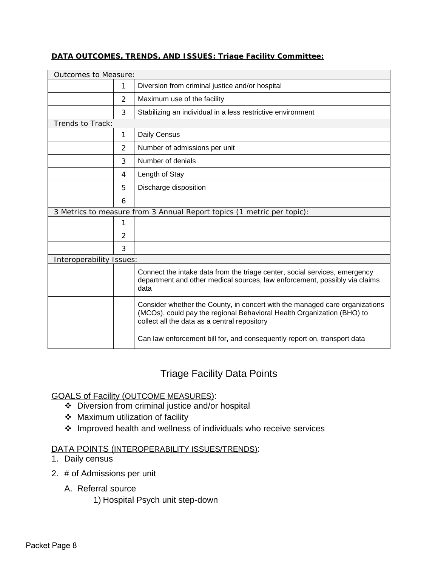### **DATA OUTCOMES, TRENDS, AND ISSUES: Triage Facility Committee:**

| <b>Outcomes to Measure:</b> |   |                                                                                                                                                                                                       |  |
|-----------------------------|---|-------------------------------------------------------------------------------------------------------------------------------------------------------------------------------------------------------|--|
|                             | 1 | Diversion from criminal justice and/or hospital                                                                                                                                                       |  |
|                             | 2 | Maximum use of the facility                                                                                                                                                                           |  |
|                             | 3 | Stabilizing an individual in a less restrictive environment                                                                                                                                           |  |
| Trends to Track:            |   |                                                                                                                                                                                                       |  |
|                             | 1 | Daily Census                                                                                                                                                                                          |  |
|                             | 2 | Number of admissions per unit                                                                                                                                                                         |  |
|                             | 3 | Number of denials                                                                                                                                                                                     |  |
|                             | 4 | Length of Stay                                                                                                                                                                                        |  |
|                             | 5 | Discharge disposition                                                                                                                                                                                 |  |
|                             | 6 |                                                                                                                                                                                                       |  |
|                             |   | 3 Metrics to measure from 3 Annual Report topics (1 metric per topic):                                                                                                                                |  |
|                             | 1 |                                                                                                                                                                                                       |  |
|                             | 2 |                                                                                                                                                                                                       |  |
|                             | 3 |                                                                                                                                                                                                       |  |
| Interoperability Issues:    |   |                                                                                                                                                                                                       |  |
|                             |   | Connect the intake data from the triage center, social services, emergency<br>department and other medical sources, law enforcement, possibly via claims<br>data                                      |  |
|                             |   | Consider whether the County, in concert with the managed care organizations<br>(MCOs), could pay the regional Behavioral Health Organization (BHO) to<br>collect all the data as a central repository |  |
|                             |   | Can law enforcement bill for, and consequently report on, transport data                                                                                                                              |  |

## Triage Facility Data Points

### GOALS of Facility (OUTCOME MEASURES):

- Diversion from criminal justice and/or hospital
- Maximum utilization of facility
- Improved health and wellness of individuals who receive services

### DATA POINTS (INTEROPERABILITY ISSUES/TRENDS):

- 1. Daily census
- 2. # of Admissions per unit
	- A. Referral source
		- 1) Hospital Psych unit step-down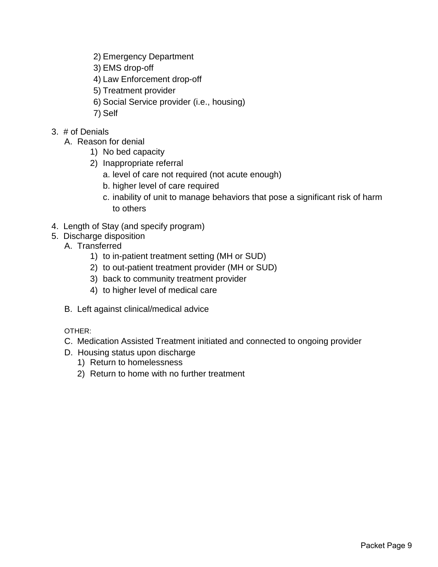- 2) Emergency Department
- 3) EMS drop-off
- 4) Law Enforcement drop-off
- 5) Treatment provider
- 6) Social Service provider (i.e., housing)
- 7) Self
- 3. # of Denials
	- A. Reason for denial
		- 1) No bed capacity
		- 2) Inappropriate referral
			- a. level of care not required (not acute enough)
			- b. higher level of care required
			- c. inability of unit to manage behaviors that pose a significant risk of harm to others
- 4. Length of Stay (and specify program)
- 5. Discharge disposition
	- A. Transferred
		- 1) to in-patient treatment setting (MH or SUD)
		- 2) to out-patient treatment provider (MH or SUD)
		- 3) back to community treatment provider
		- 4) to higher level of medical care
	- B. Left against clinical/medical advice

OTHER:

- C. Medication Assisted Treatment initiated and connected to ongoing provider
- D. Housing status upon discharge
	- 1) Return to homelessness
	- 2) Return to home with no further treatment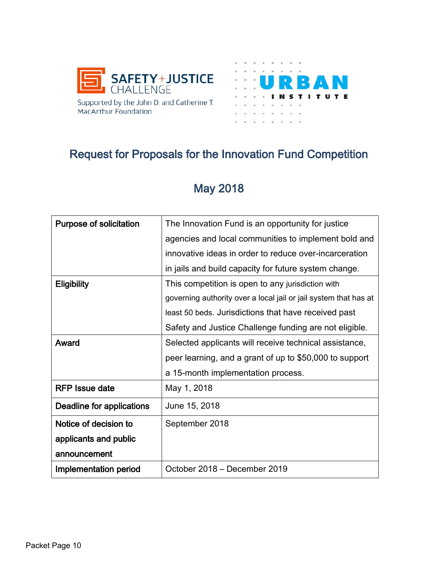



# Request for Proposals for the Innovation Fund Competition

# May 2018

| <b>Purpose of solicitation</b> | The Innovation Fund is an opportunity for justice                |
|--------------------------------|------------------------------------------------------------------|
|                                | agencies and local communities to implement bold and             |
|                                | innovative ideas in order to reduce over-incarceration           |
|                                | in jails and build capacity for future system change.            |
| <b>Eligibility</b>             | This competition is open to any jurisdiction with                |
|                                | governing authority over a local jail or jail system that has at |
|                                | least 50 beds. Jurisdictions that have received past             |
|                                | Safety and Justice Challenge funding are not eligible.           |
| Award                          | Selected applicants will receive technical assistance,           |
|                                | peer learning, and a grant of up to \$50,000 to support          |
|                                | a 15-month implementation process.                               |
| <b>RFP</b> Issue date          | May 1, 2018                                                      |
| Deadline for applications      | June 15, 2018                                                    |
| Notice of decision to          | September 2018                                                   |
| applicants and public          |                                                                  |
| announcement                   |                                                                  |
| Implementation period          | October 2018 – December 2019                                     |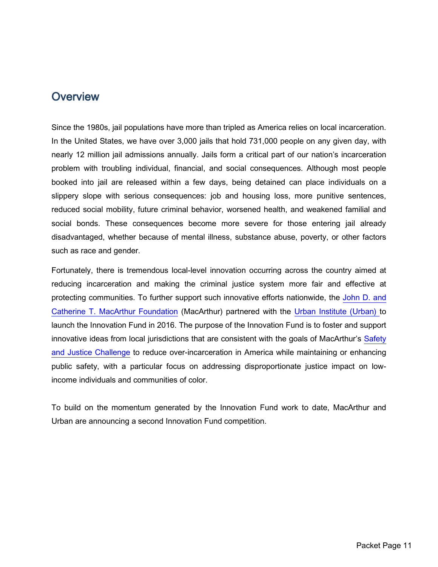## **Overview**

Since the 1980s, jail populations have more than tripled as America relies on local incarceration. In the United States, we have over 3,000 jails that hold 731,000 people on any given day, with nearly 12 million jail admissions annually. Jails form a critical part of our nation's incarceration problem with troubling individual, financial, and social consequences. Although most people booked into jail are released within a few days, being detained can place individuals on a slippery slope with serious consequences: job and housing loss, more punitive sentences, reduced social mobility, future criminal behavior, worsened health, and weakened familial and social bonds. These consequences become more severe for those entering jail already disadvantaged, whether because of mental illness, substance abuse, poverty, or other factors such as race and gender.

Fortunately, there is tremendous local-level innovation occurring across the country aimed at reducing incarceration and making the criminal justice system more fair and effective at protecting communities. To further support such innovative efforts nationwide, the [John D. and](https://www.macfound.org/)  [Catherine T. MacArthur Foundation](https://www.macfound.org/) (MacArthur) partnered with the [Urban Institute](http://www.urban.org/) (Urban) to launch the Innovation Fund in 2016. The purpose of the Innovation Fund is to foster and support innovative ideas from local jurisdictions that are consistent with the goals of MacArthur's Safety [and Justice Challenge](http://www.safetyandjusticechallenge.org/) to reduce over-incarceration in America while maintaining or enhancing public safety, with a particular focus on addressing disproportionate justice impact on lowincome individuals and communities of color.

To build on the momentum generated by the Innovation Fund work to date, MacArthur and Urban are announcing a second Innovation Fund competition.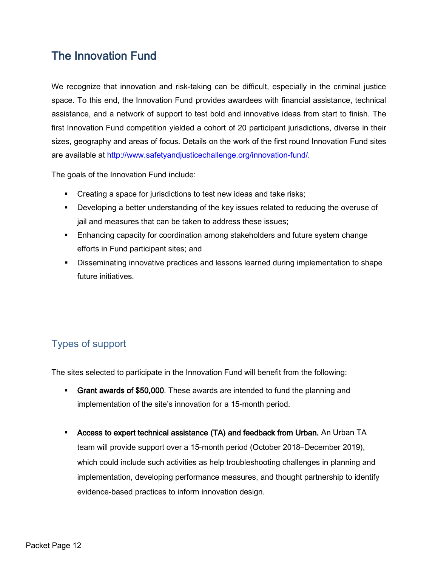# The Innovation Fund

We recognize that innovation and risk-taking can be difficult, especially in the criminal justice space. To this end, the Innovation Fund provides awardees with financial assistance, technical assistance, and a network of support to test bold and innovative ideas from start to finish. The first Innovation Fund competition yielded a cohort of 20 participant jurisdictions, diverse in their sizes, geography and areas of focus. Details on the work of the first round Innovation Fund sites are available at [http://www.safetyandjusticechallenge.org/innovation-fund/.](http://www.safetyandjusticechallenge.org/innovation-fund/)

The goals of the Innovation Fund include:

- **Creating a space for jurisdictions to test new ideas and take risks;**
- **•** Developing a better understanding of the key issues related to reducing the overuse of jail and measures that can be taken to address these issues;
- Enhancing capacity for coordination among stakeholders and future system change efforts in Fund participant sites; and
- Disseminating innovative practices and lessons learned during implementation to shape future initiatives.

## Types of support

The sites selected to participate in the Innovation Fund will benefit from the following:

- Grant awards of \$50,000. These awards are intended to fund the planning and implementation of the site's innovation for a 15-month period.
- Access to expert technical assistance (TA) and feedback from Urban. An Urban TA team will provide support over a 15-month period (October 2018–December 2019), which could include such activities as help troubleshooting challenges in planning and implementation, developing performance measures, and thought partnership to identify evidence-based practices to inform innovation design.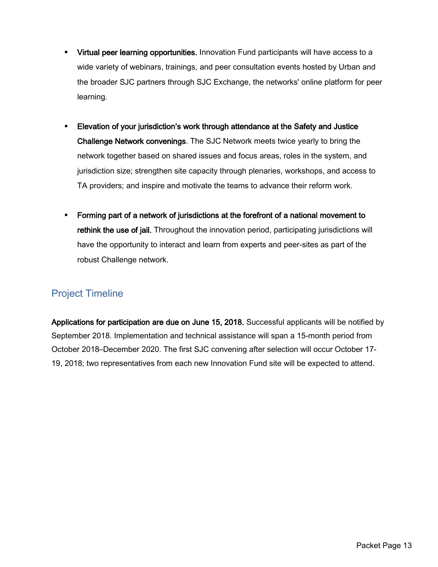- **Virtual peer learning opportunities.** Innovation Fund participants will have access to a wide variety of webinars, trainings, and peer consultation events hosted by Urban and the broader SJC partners through SJC Exchange, the networks' online platform for peer learning.
- Elevation of your jurisdiction's work through attendance at the Safety and Justice Challenge Network convenings. The SJC Network meets twice yearly to bring the network together based on shared issues and focus areas, roles in the system, and jurisdiction size; strengthen site capacity through plenaries, workshops, and access to TA providers; and inspire and motivate the teams to advance their reform work.
- Forming part of a network of jurisdictions at the forefront of a national movement to rethink the use of jail. Throughout the innovation period, participating jurisdictions will have the opportunity to interact and learn from experts and peer-sites as part of the robust Challenge network.

## Project Timeline

Applications for participation are due on June 15, 2018. Successful applicants will be notified by September 2018. Implementation and technical assistance will span a 15-month period from October 2018–December 2020. The first SJC convening after selection will occur October 17- 19, 2018; two representatives from each new Innovation Fund site will be expected to attend.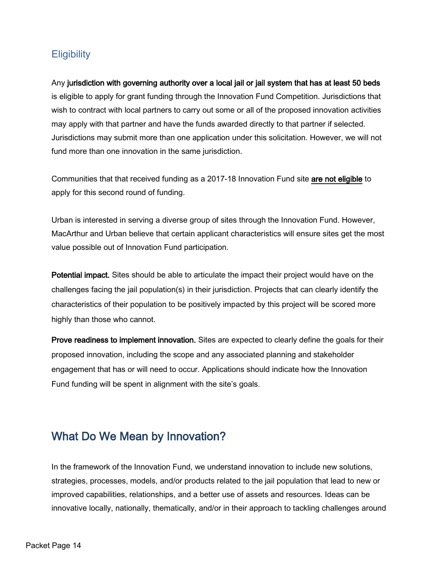## **Eligibility**

Any jurisdiction with governing authority over a local jail or jail system that has at least 50 beds is eligible to apply for grant funding through the Innovation Fund Competition. Jurisdictions that wish to contract with local partners to carry out some or all of the proposed innovation activities may apply with that partner and have the funds awarded directly to that partner if selected. Jurisdictions may submit more than one application under this solicitation. However, we will not fund more than one innovation in the same jurisdiction.

Communities that that received funding as a 2017-18 Innovation Fund site are not eligible to apply for this second round of funding.

Urban is interested in serving a diverse group of sites through the Innovation Fund. However, MacArthur and Urban believe that certain applicant characteristics will ensure sites get the most value possible out of Innovation Fund participation.

Potential impact. Sites should be able to articulate the impact their project would have on the challenges facing the jail population(s) in their jurisdiction. Projects that can clearly identify the characteristics of their population to be positively impacted by this project will be scored more highly than those who cannot.

Prove readiness to implement innovation. Sites are expected to clearly define the goals for their proposed innovation, including the scope and any associated planning and stakeholder engagement that has or will need to occur. Applications should indicate how the Innovation Fund funding will be spent in alignment with the site's goals.

# What Do We Mean by Innovation?

In the framework of the Innovation Fund, we understand innovation to include new solutions, strategies, processes, models, and/or products related to the jail population that lead to new or improved capabilities, relationships, and a better use of assets and resources. Ideas can be innovative locally, nationally, thematically, and/or in their approach to tackling challenges around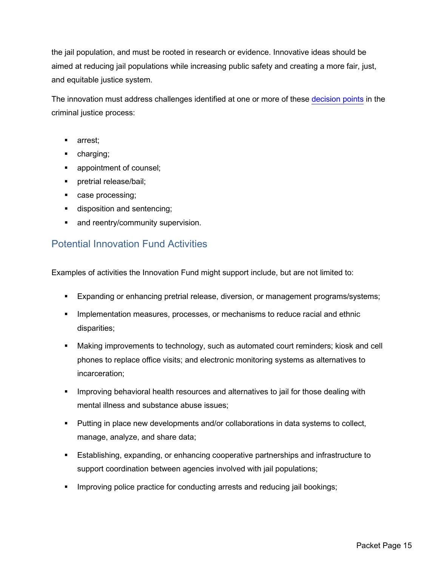the jail population, and must be rooted in research or evidence. Innovative ideas should be aimed at reducing jail populations while increasing public safety and creating a more fair, just, and equitable justice system.

The innovation must address challenges identified at one or more of these [decision points](http://www.safetyandjusticechallenge.org/series/decision-points/) in the criminal justice process:

- **arrest**;
- **charging**;
- **appointment of counsel;**
- **•** pretrial release/bail;
- **case processing;**
- **disposition and sentencing;**
- and reentry/community supervision.

### Potential Innovation Fund Activities

Examples of activities the Innovation Fund might support include, but are not limited to:

- Expanding or enhancing pretrial release, diversion, or management programs/systems;
- **IMPLEMENTER IMPLEMENT MEASURES**, processes, or mechanisms to reduce racial and ethnic disparities;
- Making improvements to technology, such as automated court reminders; kiosk and cell phones to replace office visits; and electronic monitoring systems as alternatives to incarceration;
- **IMPROM** 11 Improving behavioral health resources and alternatives to jail for those dealing with mental illness and substance abuse issues;
- Putting in place new developments and/or collaborations in data systems to collect, manage, analyze, and share data;
- Establishing, expanding, or enhancing cooperative partnerships and infrastructure to support coordination between agencies involved with jail populations;
- **IMPROM** 10 Improving police practice for conducting arrests and reducing jail bookings;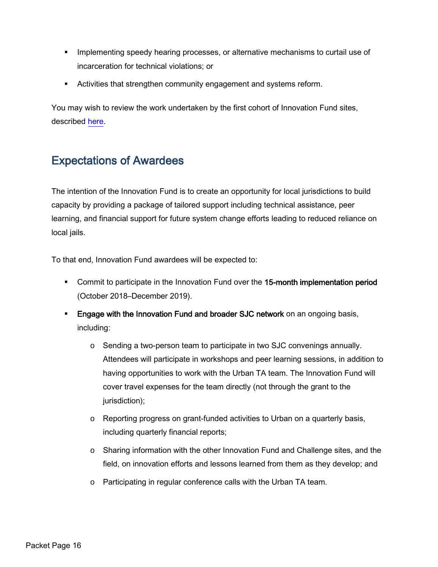- **IMPLEMENTER IMPLEMENT IMPLEM** Implementing speedy hearing processes, or alternative mechanisms to curtail use of incarceration for technical violations; or
- Activities that strengthen community engagement and systems reform.

You may wish to review the work undertaken by the first cohort of Innovation Fund sites, described [here.](http://www.safetyandjusticechallenge.org/innovation-fund/)

# Expectations of Awardees

The intention of the Innovation Fund is to create an opportunity for local jurisdictions to build capacity by providing a package of tailored support including technical assistance, peer learning, and financial support for future system change efforts leading to reduced reliance on local jails.

To that end, Innovation Fund awardees will be expected to:

- **Commit to participate in the Innovation Fund over the 15-month implementation period** (October 2018–December 2019).
- **Engage with the Innovation Fund and broader SJC network** on an ongoing basis, including:
	- o Sending a two-person team to participate in two SJC convenings annually. Attendees will participate in workshops and peer learning sessions, in addition to having opportunities to work with the Urban TA team. The Innovation Fund will cover travel expenses for the team directly (not through the grant to the jurisdiction);
	- $\circ$  Reporting progress on grant-funded activities to Urban on a quarterly basis, including quarterly financial reports;
	- o Sharing information with the other Innovation Fund and Challenge sites, and the field, on innovation efforts and lessons learned from them as they develop; and
	- o Participating in regular conference calls with the Urban TA team.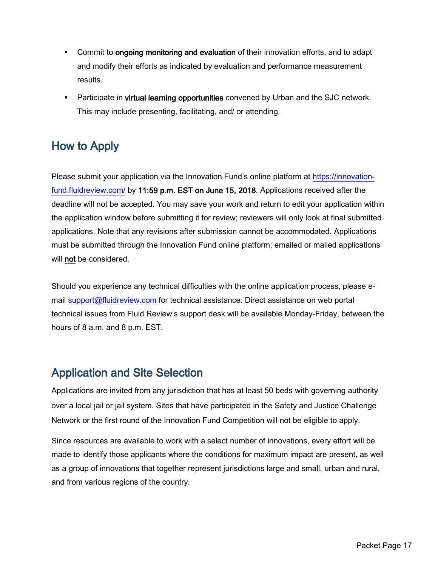- **Commit to ongoing monitoring and evaluation** of their innovation efforts, and to adapt and modify their efforts as indicated by evaluation and performance measurement results.
- **Participate in virtual learning opportunities** convened by Urban and the SJC network. This may include presenting, facilitating, and/ or attending.

# How to Apply

Please submit your application via the Innovation Fund's online platform at [https://innovation](https://innovation-fund.fluidreview.com/)[fund.fluidreview.com/](https://innovation-fund.fluidreview.com/) by 11:59 p.m. EST on June 15, 2018. Applications received after the deadline will not be accepted. You may save your work and return to edit your application within the application window before submitting it for review; reviewers will only look at final submitted applications. Note that any revisions after submission cannot be accommodated. Applications must be submitted through the Innovation Fund online platform; emailed or mailed applications will **not** be considered.

Should you experience any technical difficulties with the online application process, please email [support@fluidreview.com](mailto:support@fluidreview.com) for technical assistance. Direct assistance on web portal technical issues from Fluid Review's support desk will be available Monday-Friday, between the hours of 8 a.m. and 8 p.m. EST.

# Application and Site Selection

Applications are invited from any jurisdiction that has at least 50 beds with governing authority over a local jail or jail system. Sites that have participated in the Safety and Justice Challenge Network or the first round of the Innovation Fund Competition will not be eligible to apply.

Since resources are available to work with a select number of innovations, every effort will be made to identify those applicants where the conditions for maximum impact are present, as well as a group of innovations that together represent jurisdictions large and small, urban and rural, and from various regions of the country.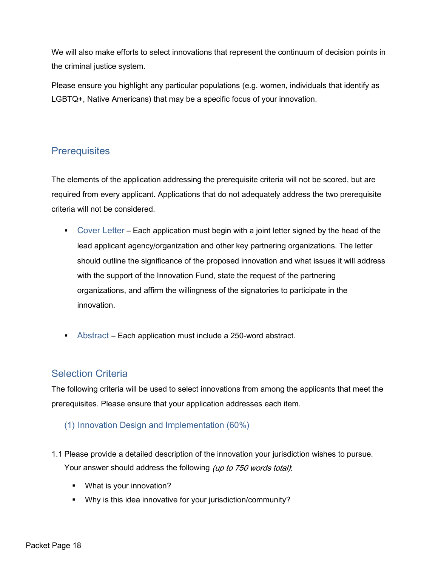We will also make efforts to select innovations that represent the continuum of decision points in the criminal justice system.

Please ensure you highlight any particular populations (e.g. women, individuals that identify as LGBTQ+, Native Americans) that may be a specific focus of your innovation.

## **Prerequisites**

The elements of the application addressing the prerequisite criteria will not be scored, but are required from every applicant. Applications that do not adequately address the two prerequisite criteria will not be considered.

- Cover Letter Each application must begin with a joint letter signed by the head of the lead applicant agency/organization and other key partnering organizations. The letter should outline the significance of the proposed innovation and what issues it will address with the support of the Innovation Fund, state the request of the partnering organizations, and affirm the willingness of the signatories to participate in the innovation.
- Abstract Each application must include a 250-word abstract.

## Selection Criteria

The following criteria will be used to select innovations from among the applicants that meet the prerequisites. Please ensure that your application addresses each item.

### (1) Innovation Design and Implementation (60%)

- 1.1 Please provide a detailed description of the innovation your jurisdiction wishes to pursue. Your answer should address the following (up to 750 words total):
	- What is your innovation?
	- Why is this idea innovative for your jurisdiction/community?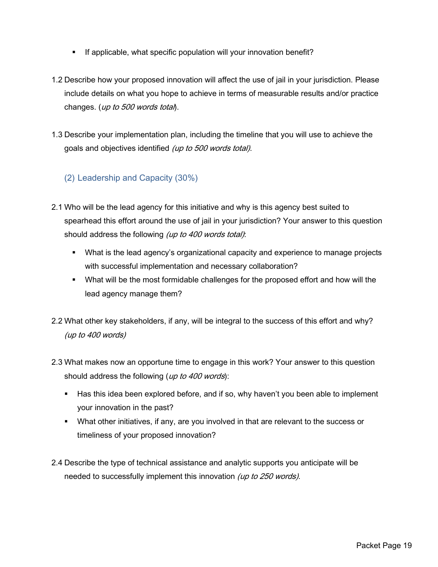- If applicable, what specific population will your innovation benefit?
- 1.2 Describe how your proposed innovation will affect the use of jail in your jurisdiction. Please include details on what you hope to achieve in terms of measurable results and/or practice changes. (*up to 500 words total*).
- 1.3 Describe your implementation plan, including the timeline that you will use to achieve the goals and objectives identified (up to 500 words total).

### (2) Leadership and Capacity (30%)

- 2.1 Who will be the lead agency for this initiative and why is this agency best suited to spearhead this effort around the use of jail in your jurisdiction? Your answer to this question should address the following (up to 400 words total):
	- What is the lead agency's organizational capacity and experience to manage projects with successful implementation and necessary collaboration?
	- What will be the most formidable challenges for the proposed effort and how will the lead agency manage them?
- 2.2 What other key stakeholders, if any, will be integral to the success of this effort and why? (up to 400 words)
- 2.3 What makes now an opportune time to engage in this work? Your answer to this question should address the following (up to 400 words):
	- Has this idea been explored before, and if so, why haven't you been able to implement your innovation in the past?
	- What other initiatives, if any, are you involved in that are relevant to the success or timeliness of your proposed innovation?
- 2.4 Describe the type of technical assistance and analytic supports you anticipate will be needed to successfully implement this innovation (up to 250 words).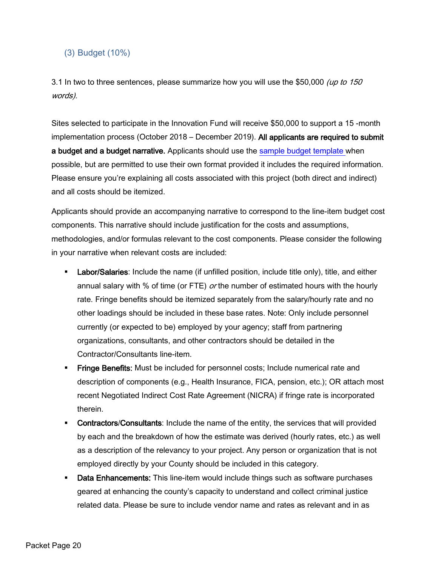### (3) Budget (10%)

3.1 In two to three sentences, please summarize how you will use the \$50,000 (up to 150 words).

Sites selected to participate in the Innovation Fund will receive \$50,000 to support a 15 -month implementation process (October 2018 – December 2019). All applicants are required to submit a budget and a budget narrative. Applicants should use the [sample budget template w](https://innovation-fund.fluidreview.com/pm/resource/eyJoZnJlIjogOTE4MjE4MjQsICJ2cSI6IDMyMzgwfQ/)hen possible, but are permitted to use their own format provided it includes the required information. Please ensure you're explaining all costs associated with this project (both direct and indirect) and all costs should be itemized.

Applicants should provide an accompanying narrative to correspond to the line-item budget cost components. This narrative should include justification for the costs and assumptions, methodologies, and/or formulas relevant to the cost components. Please consider the following in your narrative when relevant costs are included:

- **Labor/Salaries:** Include the name (if unfilled position, include title only), title, and either annual salary with % of time (or FTE)  $or$  the number of estimated hours with the hourly rate. Fringe benefits should be itemized separately from the salary/hourly rate and no other loadings should be included in these base rates. Note: Only include personnel currently (or expected to be) employed by your agency; staff from partnering organizations, consultants, and other contractors should be detailed in the Contractor/Consultants line-item.
- **Fringe Benefits:** Must be included for personnel costs; Include numerical rate and description of components (e.g., Health Insurance, FICA, pension, etc.); OR attach most recent Negotiated Indirect Cost Rate Agreement (NICRA) if fringe rate is incorporated therein.
- **Contractors/Consultants:** Include the name of the entity, the services that will provided by each and the breakdown of how the estimate was derived (hourly rates, etc.) as well as a description of the relevancy to your project. Any person or organization that is not employed directly by your County should be included in this category.
- **Data Enhancements:** This line-item would include things such as software purchases geared at enhancing the county's capacity to understand and collect criminal justice related data. Please be sure to include vendor name and rates as relevant and in as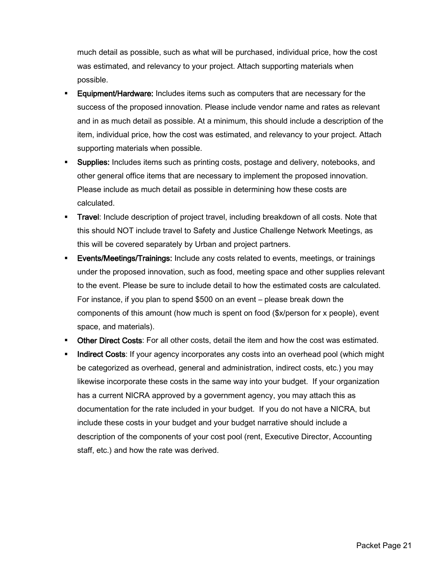much detail as possible, such as what will be purchased, individual price, how the cost was estimated, and relevancy to your project. Attach supporting materials when possible.

- **Equipment/Hardware:** Includes items such as computers that are necessary for the success of the proposed innovation. Please include vendor name and rates as relevant and in as much detail as possible. At a minimum, this should include a description of the item, individual price, how the cost was estimated, and relevancy to your project. Attach supporting materials when possible.
- **Supplies:** Includes items such as printing costs, postage and delivery, notebooks, and other general office items that are necessary to implement the proposed innovation. Please include as much detail as possible in determining how these costs are calculated.
- **Travel:** Include description of project travel, including breakdown of all costs. Note that this should NOT include travel to Safety and Justice Challenge Network Meetings, as this will be covered separately by Urban and project partners.
- **Events/Meetings/Trainings:** Include any costs related to events, meetings, or trainings under the proposed innovation, such as food, meeting space and other supplies relevant to the event. Please be sure to include detail to how the estimated costs are calculated. For instance, if you plan to spend \$500 on an event – please break down the components of this amount (how much is spent on food (\$x/person for x people), event space, and materials).
- **Other Direct Costs:** For all other costs, detail the item and how the cost was estimated.
- **Indirect Costs**: If your agency incorporates any costs into an overhead pool (which might be categorized as overhead, general and administration, indirect costs, etc.) you may likewise incorporate these costs in the same way into your budget. If your organization has a current NICRA approved by a government agency, you may attach this as documentation for the rate included in your budget. If you do not have a NICRA, but include these costs in your budget and your budget narrative should include a description of the components of your cost pool (rent, Executive Director, Accounting staff, etc.) and how the rate was derived.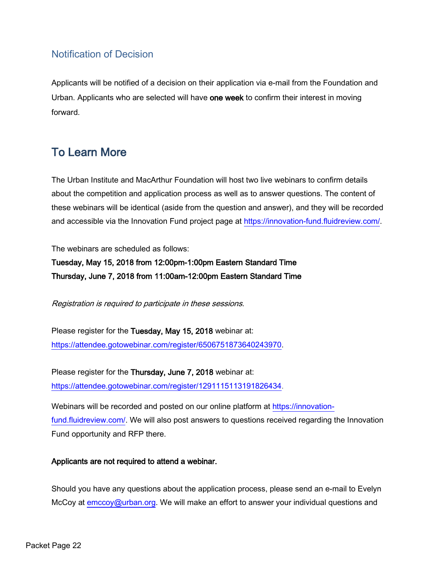## Notification of Decision

Applicants will be notified of a decision on their application via e-mail from the Foundation and Urban. Applicants who are selected will have one week to confirm their interest in moving forward.

# To Learn More

The Urban Institute and MacArthur Foundation will host two live webinars to confirm details about the competition and application process as well as to answer questions. The content of these webinars will be identical (aside from the question and answer), and they will be recorded and accessible via the Innovation Fund project page at [https://innovation-fund.fluidreview.com/.](https://innovation-fund.fluidreview.com/)

The webinars are scheduled as follows:

Tuesday, May 15, 2018 from 12:00pm-1:00pm Eastern Standard Time Thursday, June 7, 2018 from 11:00am-12:00pm Eastern Standard Time

Registration is required to participate in these sessions.

Please register for the Tuesday, May 15, 2018 webinar at: [https://attendee.gotowebinar.com/register/6506751873640243970.](https://attendee.gotowebinar.com/register/6506751873640243970)

Please register for the Thursday, June 7, 2018 webinar at: [https://attendee.gotowebinar.com/register/1291115113191826434.](https://attendee.gotowebinar.com/register/1291115113191826434)

Webinars will be recorded and posted on our online platform at [https://innovation](https://innovation-fund.fluidreview.com/)[fund.fluidreview.com/.](https://innovation-fund.fluidreview.com/) We will also post answers to questions received regarding the Innovation Fund opportunity and RFP there.

### Applicants are not required to attend a webinar.

Should you have any questions about the application process, please send an e-mail to Evelyn McCoy at [emccoy@urban.org.](mailto:emccoy@urban.org) We will make an effort to answer your individual questions and